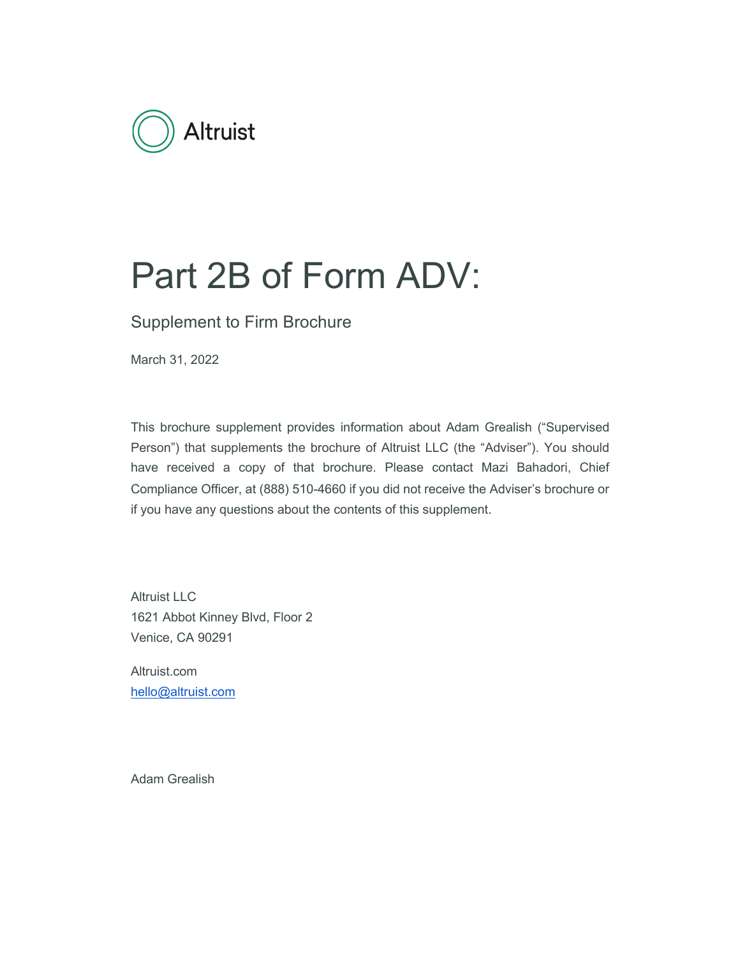

# Part 2B of Form ADV:

Supplement to Firm Brochure

March 31, 2022

This brochure supplement provides information about Adam Grealish ("Supervised Person") that supplements the brochure of Altruist LLC (the "Adviser"). You should have received a copy of that brochure. Please contact Mazi Bahadori, Chief Compliance Officer, at (888) 510-4660 if you did not receive the Adviser's brochure or if you have any questions about the contents of this supplement.

Altruist LLC 1621 Abbot Kinney Blvd, Floor 2 Venice, CA 90291

Altruist.com hello@altruist.com

Adam Grealish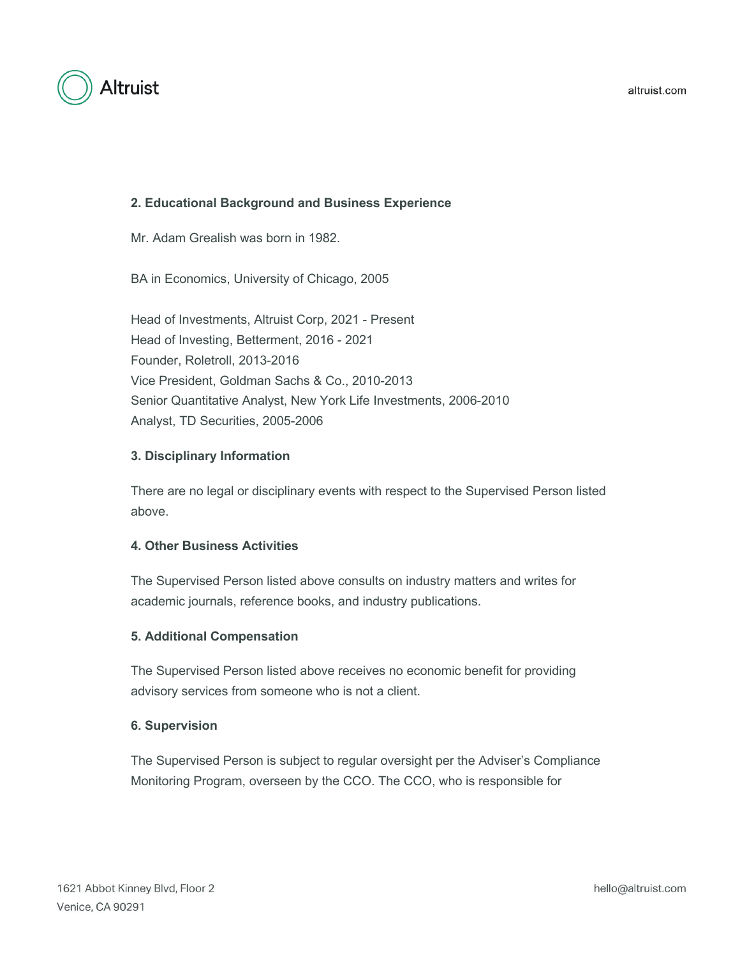

# **2. Educational Background and Business Experience**

Mr. Adam Grealish was born in 1982.

BA in Economics, University of Chicago, 2005

Head of Investments, Altruist Corp, 2021 - Present Head of Investing, Betterment, 2016 - 2021 Founder, Roletroll, 2013-2016 Vice President, Goldman Sachs & Co., 2010-2013 Senior Quantitative Analyst, New York Life Investments, 2006-2010 Analyst, TD Securities, 2005-2006

# **3. Disciplinary Information**

There are no legal or disciplinary events with respect to the Supervised Person listed above.

### **4. Other Business Activities**

The Supervised Person listed above consults on industry matters and writes for academic journals, reference books, and industry publications.

# **5. Additional Compensation**

The Supervised Person listed above receives no economic benefit for providing advisory services from someone who is not a client.

### **6. Supervision**

The Supervised Person is subject to regular oversight per the Adviser's Compliance Monitoring Program, overseen by the CCO. The CCO, who is responsible for